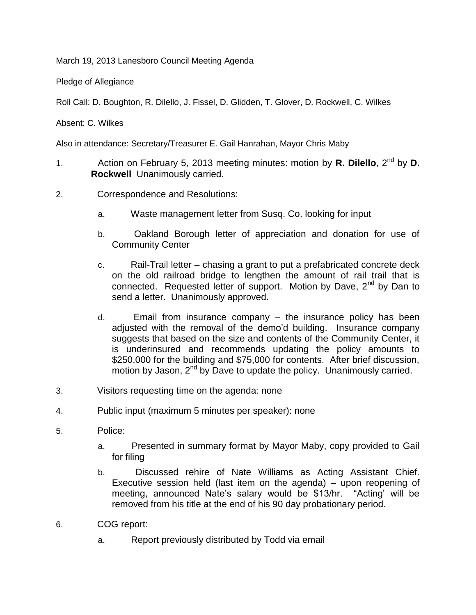March 19, 2013 Lanesboro Council Meeting Agenda

Pledge of Allegiance

Roll Call: D. Boughton, R. Dilello, J. Fissel, D. Glidden, T. Glover, D. Rockwell, C. Wilkes

Absent: C. Wilkes

Also in attendance: Secretary/Treasurer E. Gail Hanrahan, Mayor Chris Maby

- 1. Action on February 5, 2013 meeting minutes: motion by **R. Dilello**, 2nd by **D. Rockwell** Unanimously carried.
- 2. Correspondence and Resolutions:
	- a. Waste management letter from Susq. Co. looking for input
	- b. Oakland Borough letter of appreciation and donation for use of Community Center
	- c. Rail-Trail letter chasing a grant to put a prefabricated concrete deck on the old railroad bridge to lengthen the amount of rail trail that is connected. Requested letter of support. Motion by Dave, 2<sup>nd</sup> by Dan to send a letter. Unanimously approved.
	- d. Email from insurance company the insurance policy has been adjusted with the removal of the demo'd building. Insurance company suggests that based on the size and contents of the Community Center, it is underinsured and recommends updating the policy amounts to \$250,000 for the building and \$75,000 for contents. After brief discussion, motion by Jason,  $2<sup>nd</sup>$  by Dave to update the policy. Unanimously carried.
- 3. Visitors requesting time on the agenda: none
- 4. Public input (maximum 5 minutes per speaker): none
- 5. Police:
	- a. Presented in summary format by Mayor Maby, copy provided to Gail for filing
	- b. Discussed rehire of Nate Williams as Acting Assistant Chief. Executive session held (last item on the agenda) – upon reopening of meeting, announced Nate's salary would be \$13/hr. "Acting' will be removed from his title at the end of his 90 day probationary period.
- 6. COG report:
	- a. Report previously distributed by Todd via email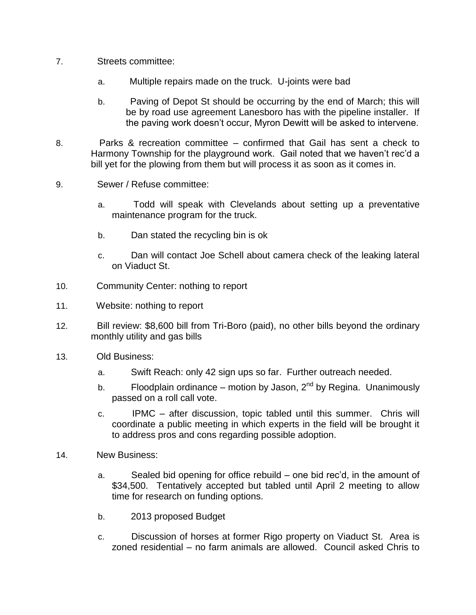- 7. Streets committee:
	- a. Multiple repairs made on the truck. U-joints were bad
	- b. Paving of Depot St should be occurring by the end of March; this will be by road use agreement Lanesboro has with the pipeline installer. If the paving work doesn't occur, Myron Dewitt will be asked to intervene.
- 8. Parks & recreation committee confirmed that Gail has sent a check to Harmony Township for the playground work. Gail noted that we haven't rec'd a bill yet for the plowing from them but will process it as soon as it comes in.
- 9. Sewer / Refuse committee:
	- a. Todd will speak with Clevelands about setting up a preventative maintenance program for the truck.
	- b. Dan stated the recycling bin is ok
	- c. Dan will contact Joe Schell about camera check of the leaking lateral on Viaduct St.
- 10. Community Center: nothing to report
- 11. Website: nothing to report
- 12. Bill review: \$8,600 bill from Tri-Boro (paid), no other bills beyond the ordinary monthly utility and gas bills
- 13. Old Business:
	- a. Swift Reach: only 42 sign ups so far. Further outreach needed.
	- b. Floodplain ordinance motion by Jason,  $2^{nd}$  by Regina. Unanimously passed on a roll call vote.
	- c. IPMC after discussion, topic tabled until this summer. Chris will coordinate a public meeting in which experts in the field will be brought it to address pros and cons regarding possible adoption.
- 14. New Business:
	- a. Sealed bid opening for office rebuild one bid rec'd, in the amount of \$34,500. Tentatively accepted but tabled until April 2 meeting to allow time for research on funding options.
	- b. 2013 proposed Budget
	- c. Discussion of horses at former Rigo property on Viaduct St. Area is zoned residential – no farm animals are allowed. Council asked Chris to